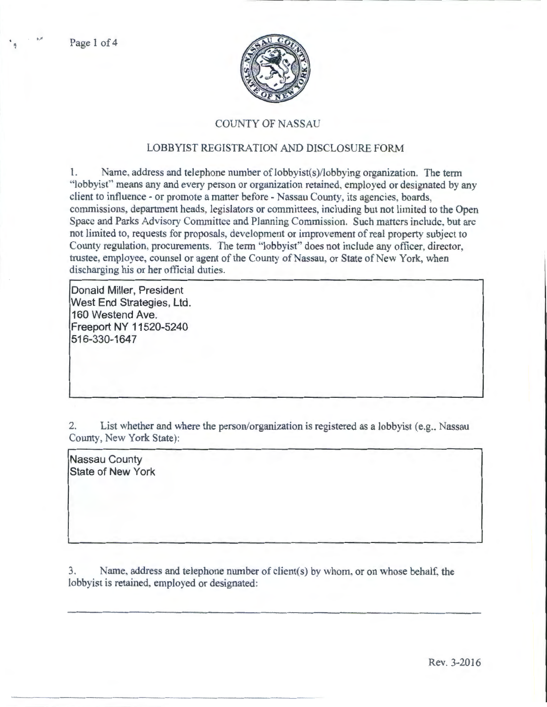

## COUNTY OF NASSAU

## LOBBYIST REGISTRATION AND DISCLOSURE FORM

1. Name, address and telephone number of lobbyist(s)/lobbying organization. The term "lobbyist" means any and every person or organization retained, employed or designated by any client to influence - or promote a matter before- Nassau County, its agencies. boards, commissions, department heads, legislators or committees, including but not limited to the Open Space and Parks Advisory Committee and Planning Commission. Such matters include, but arc not limited to, requests for proposals, development or improvement of real property subject to County regulation, procurements. The term "lobbyist" does not include any officer, director, trustee, employee, counsel or agent of the County of Nassau, or State of New York, when discharging his or her official duties.

**Donald Miller, President West End Strategies, Ltd. 160 Westend Ave. Freeport NY 11520-5240 516-330-1647** 

2. List whether and where the person/organization is registered as a lobbyist (e.g., Nassau County, New York State):

**Nassau County State of New York** 

3. Name, address and telephone number of client(s) by whom, or on whose behalf. the lobbyist is retained, employed or designated:

Rev. 3-2016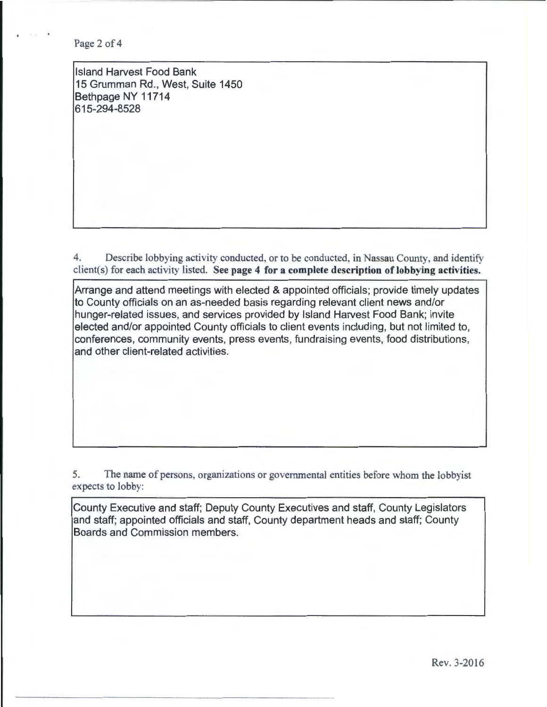Page 2 of 4

Island Harvest Food Bank 15 Grumman Rd., West, Suite 1450 Bethpage NY 11714 615-294-8528

4. Describe lobbying activity conducted, or to be conducted, in Nassau County, and identify client(s) for each activity listed. See page 4 for a complete description of lobbying activities.

Arrange and attend meetings with elected & appointed officials; provide timely updates to County officials on an as-needed basis regarding relevant client news and/or hunger-related issues, and services provided by Island Harvest Food Bank; invite elected and/or appointed County officials to client events including, but not limited to, conferences, community events, press events, fundraising events, food distributions, and other client-related activities.

5. The name of persons, organizations or governmental entities before whom the lobbyist expects to lobby:

County Executive and staff; Deputy County Executives and staff, County Legislators and staff; appointed officials and staff, County department heads and staff; County Boards and Commission members.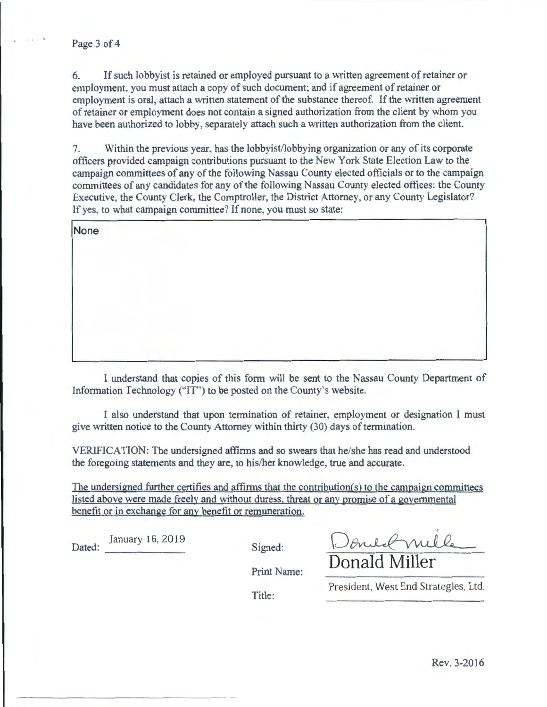6. If such lobbyist is retained or employed pursuant to a written agreement of retainer or employment. you must attach a copy of such document; and if agreement of retainer or employment is oral, attach a written statement of the substance thereof. If the written agreement of retainer or employment does not contain a signed authorization from the client by whom you have been authorized to lobby. separately attach such a written authorization from the client.

7. Within the previous year, has the lobbyist/lobbying organization or any of its corporate officers provided campaign contributions pursuant to the New York State Election Law to the campaign committees of any of the following Nassau County elected officials or to the campaign committees of any candidates tor any of the following Nassau County elected offices: the County Executive, the County Clerk, the Comptroller, the District Attorney, or any County Legislator? If yes, to what campaign committee? If none, you must so state:

**None** 

I understand that copies of this form will be sent to the Nassau County Department of Information Technology ("IT") to be posted on the County's website.

I also understand that upon termination of retainer, employment or designation I must give written notice to the County Attorney within thirty (30) days of termination.

VERIFICATION: The undersigned affirms and so swears that he/she has read and understood the foregoing statements and they are, to his/her knowledge, true and accurate.

The undersigned further certifies and affirms that the contribution(s) to the campaign committees listed above were made freely and without duress. threat or any promise of a governmental benefit or in exchange for any benefit or remuneration.

January 16, 2019 Dated: Signed:

 $\overline{\phantom{a}}$ 

Donud mille

Print Name:

Title:

President, West End Strategies, Ltd.